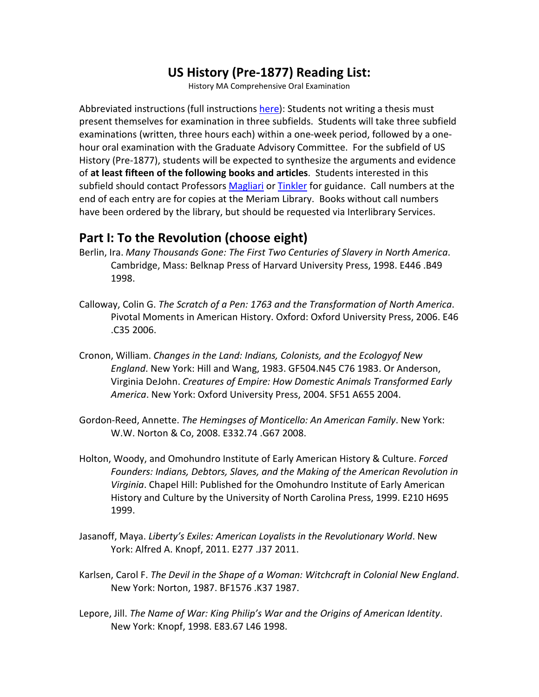### **US History (Pre-1877) Reading List:**

History MA Comprehensive Oral Examination

Abbreviated instructions (full instructions [here\)](http://www.csuchico.edu/hist/academic-programs/ma-comprehensive-oral-examination.shtml): Students not writing a thesis must present themselves for examination in three subfields. Students will take three subfield examinations (written, three hours each) within a one-week period, followed by a onehour oral examination with the Graduate Advisory Committee. For the subfield of US History (Pre-1877), students will be expected to synthesize the arguments and evidence of **at least fifteen of the following books and articles**. Students interested in this subfield should contact Professors [Magliari](http://www.csuchico.edu/hist/faculty/biographies/magliari.shtml) o[r Tinkler](http://www.csuchico.edu/hist/faculty/biographies/tinkler.shtml) for guidance. Call numbers at the end of each entry are for copies at the Meriam Library. Books without call numbers have been ordered by the library, but should be requested via Interlibrary Services.

#### **Part I: To the Revolution (choose eight)**

- Berlin, Ira. *Many Thousands Gone: The First Two Centuries of Slavery in North America*. Cambridge, Mass: Belknap Press of Harvard University Press, 1998. E446 .B49 1998.
- Calloway, Colin G. *The Scratch of a Pen: 1763 and the Transformation of North America*. Pivotal Moments in American History. Oxford: Oxford University Press, 2006. E46 .C35 2006.
- Cronon, William. *Changes in the Land: Indians, Colonists, and the Ecologyof New England*. New York: Hill and Wang, 1983. GF504.N45 C76 1983. Or Anderson, Virginia DeJohn. *Creatures of Empire: How Domestic Animals Transformed Early America*. New York: Oxford University Press, 2004. SF51 A655 2004.
- Gordon-Reed, Annette. *The Hemingses of Monticello: An American Family*. New York: W.W. Norton & Co, 2008. E332.74 .G67 2008.
- Holton, Woody, and Omohundro Institute of Early American History & Culture. *Forced Founders: Indians, Debtors, Slaves, and the Making of the American Revolution in Virginia*. Chapel Hill: Published for the Omohundro Institute of Early American History and Culture by the University of North Carolina Press, 1999. E210 H695 1999.
- Jasanoff, Maya. *Liberty's Exiles: American Loyalists in the Revolutionary World*. New York: Alfred A. Knopf, 2011. E277 .J37 2011.
- Karlsen, Carol F. *The Devil in the Shape of a Woman: Witchcraft in Colonial New England*. New York: Norton, 1987. BF1576 .K37 1987.
- Lepore, Jill. *The Name of War: King Philip's War and the Origins of American Identity*. New York: Knopf, 1998. E83.67 L46 1998.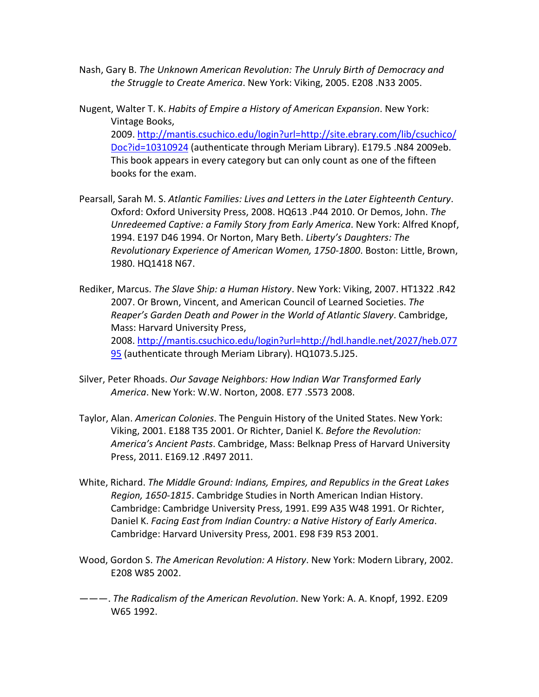- Nash, Gary B. *The Unknown American Revolution: The Unruly Birth of Democracy and the Struggle to Create America*. New York: Viking, 2005. E208 .N33 2005.
- Nugent, Walter T. K. *Habits of Empire a History of American Expansion*. New York: Vintage Books, 2009. [http://mantis.csuchico.edu/login?url=http://site.ebrary.com/lib/csuchico/](http://mantis.csuchico.edu/login?url=http://site.ebrary.com/lib/csuchico/Doc?id=10310924) [Doc?id=10310924](http://mantis.csuchico.edu/login?url=http://site.ebrary.com/lib/csuchico/Doc?id=10310924) (authenticate through Meriam Library). E179.5 .N84 2009eb. This book appears in every category but can only count as one of the fifteen books for the exam.
- Pearsall, Sarah M. S. *Atlantic Families: Lives and Letters in the Later Eighteenth Century*. Oxford: Oxford University Press, 2008. HQ613 .P44 2010. Or Demos, John. *The Unredeemed Captive: a Family Story from Early America*. New York: Alfred Knopf, 1994. E197 D46 1994. Or Norton, Mary Beth. *Liberty's Daughters: The Revolutionary Experience of American Women, 1750-1800*. Boston: Little, Brown, 1980. HQ1418 N67.
- Rediker, Marcus. *The Slave Ship: a Human History*. New York: Viking, 2007. HT1322 .R42 2007. Or Brown, Vincent, and American Council of Learned Societies. *The Reaper's Garden Death and Power in the World of Atlantic Slavery*. Cambridge, Mass: Harvard University Press, 2008. [http://mantis.csuchico.edu/login?url=http://hdl.handle.net/2027/heb.077](http://mantis.csuchico.edu/login?url=http://hdl.handle.net/2027/heb.07795) [95](http://mantis.csuchico.edu/login?url=http://hdl.handle.net/2027/heb.07795) (authenticate through Meriam Library). HQ1073.5.J25.
- Silver, Peter Rhoads. *Our Savage Neighbors: How Indian War Transformed Early America*. New York: W.W. Norton, 2008. E77 .S573 2008.
- Taylor, Alan. *American Colonies*. The Penguin History of the United States. New York: Viking, 2001. E188 T35 2001. Or Richter, Daniel K. *Before the Revolution: America's Ancient Pasts*. Cambridge, Mass: Belknap Press of Harvard University Press, 2011. E169.12 .R497 2011.
- White, Richard. *The Middle Ground: Indians, Empires, and Republics in the Great Lakes Region, 1650-1815*. Cambridge Studies in North American Indian History. Cambridge: Cambridge University Press, 1991. E99 A35 W48 1991. Or Richter, Daniel K. *Facing East from Indian Country: a Native History of Early America*. Cambridge: Harvard University Press, 2001. E98 F39 R53 2001.
- Wood, Gordon S. *The American Revolution: A History*. New York: Modern Library, 2002. E208 W85 2002.
- ———. *The Radicalism of the American Revolution*. New York: A. A. Knopf, 1992. E209 W65 1992.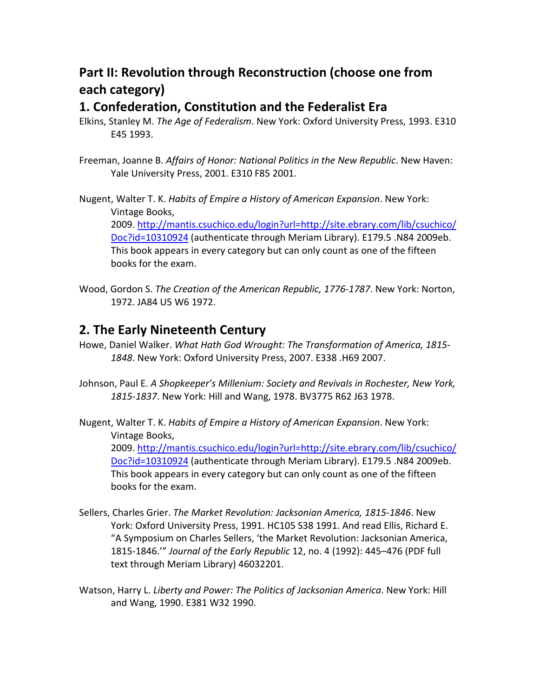# **Part II: Revolution through Reconstruction (choose one from each category)**

#### **1. Confederation, Constitution and the Federalist Era**

- Elkins, Stanley M. *The Age of Federalism*. New York: Oxford University Press, 1993. E310 E45 1993.
- Freeman, Joanne B. *Affairs of Honor: National Politics in the New Republic*. New Haven: Yale University Press, 2001. E310 F85 2001.

Nugent, Walter T. K. *Habits of Empire a History of American Expansion*. New York: Vintage Books, 2009. [http://mantis.csuchico.edu/login?url=http://site.ebrary.com/lib/csuchico/](http://mantis.csuchico.edu/login?url=http://site.ebrary.com/lib/csuchico/Doc?id=10310924) [Doc?id=10310924](http://mantis.csuchico.edu/login?url=http://site.ebrary.com/lib/csuchico/Doc?id=10310924) (authenticate through Meriam Library). E179.5 .N84 2009eb. This book appears in every category but can only count as one of the fifteen books for the exam.

Wood, Gordon S. *The Creation of the American Republic, 1776-1787*. New York: Norton, 1972. JA84 U5 W6 1972.

### **2. The Early Nineteenth Century**

- Howe, Daniel Walker. *What Hath God Wrought: The Transformation of America, 1815- 1848*. New York: Oxford University Press, 2007. E338 .H69 2007.
- Johnson, Paul E. *A Shopkeeper's Millenium: Society and Revivals in Rochester, New York, 1815-1837*. New York: Hill and Wang, 1978. BV3775 R62 J63 1978.

Nugent, Walter T. K. *Habits of Empire a History of American Expansion*. New York: Vintage Books, 2009. [http://mantis.csuchico.edu/login?url=http://site.ebrary.com/lib/csuchico/](http://mantis.csuchico.edu/login?url=http://site.ebrary.com/lib/csuchico/Doc?id=10310924) [Doc?id=10310924](http://mantis.csuchico.edu/login?url=http://site.ebrary.com/lib/csuchico/Doc?id=10310924) (authenticate through Meriam Library). E179.5 .N84 2009eb. This book appears in every category but can only count as one of the fifteen books for the exam.

- Sellers, Charles Grier. *The Market Revolution: Jacksonian America, 1815-1846*. New York: Oxford University Press, 1991. HC105 S38 1991. And read Ellis, Richard E. "A Symposium on Charles Sellers, 'the Market Revolution: Jacksonian America, 1815-1846.'" *Journal of the Early Republic* 12, no. 4 (1992): 445–476 (PDF full text through Meriam Library) 46032201.
- Watson, Harry L. *Liberty and Power: The Politics of Jacksonian America*. New York: Hill and Wang, 1990. E381 W32 1990.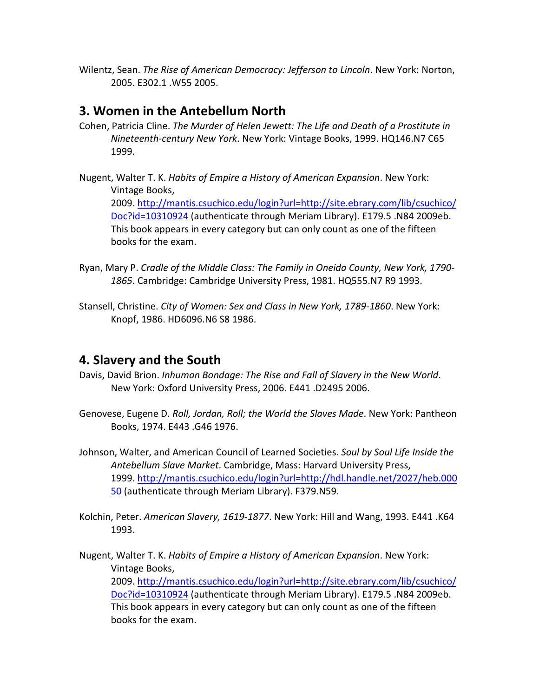Wilentz, Sean. *The Rise of American Democracy: Jefferson to Lincoln*. New York: Norton, 2005. E302.1 .W55 2005.

#### **3. Women in the Antebellum North**

- Cohen, Patricia Cline. *The Murder of Helen Jewett: The Life and Death of a Prostitute in Nineteenth-century New York*. New York: Vintage Books, 1999. HQ146.N7 C65 1999.
- Nugent, Walter T. K. *Habits of Empire a History of American Expansion*. New York: Vintage Books, 2009. [http://mantis.csuchico.edu/login?url=http://site.ebrary.com/lib/csuchico/](http://mantis.csuchico.edu/login?url=http://site.ebrary.com/lib/csuchico/Doc?id=10310924) [Doc?id=10310924](http://mantis.csuchico.edu/login?url=http://site.ebrary.com/lib/csuchico/Doc?id=10310924) (authenticate through Meriam Library). E179.5 .N84 2009eb. This book appears in every category but can only count as one of the fifteen books for the exam.
- Ryan, Mary P. *Cradle of the Middle Class: The Family in Oneida County, New York, 1790- 1865*. Cambridge: Cambridge University Press, 1981. HQ555.N7 R9 1993.
- Stansell, Christine. *City of Women: Sex and Class in New York, 1789-1860*. New York: Knopf, 1986. HD6096.N6 S8 1986.

#### **4. Slavery and the South**

- Davis, David Brion. *Inhuman Bondage: The Rise and Fall of Slavery in the New World*. New York: Oxford University Press, 2006. E441 .D2495 2006.
- Genovese, Eugene D. *Roll, Jordan, Roll; the World the Slaves Made*. New York: Pantheon Books, 1974. E443 .G46 1976.
- Johnson, Walter, and American Council of Learned Societies. *Soul by Soul Life Inside the Antebellum Slave Market*. Cambridge, Mass: Harvard University Press, 1999. [http://mantis.csuchico.edu/login?url=http://hdl.handle.net/2027/heb.000](http://mantis.csuchico.edu/login?url=http://hdl.handle.net/2027/heb.00050) [50](http://mantis.csuchico.edu/login?url=http://hdl.handle.net/2027/heb.00050) (authenticate through Meriam Library). F379.N59.
- Kolchin, Peter. *American Slavery, 1619-1877*. New York: Hill and Wang, 1993. E441 .K64 1993.
- Nugent, Walter T. K. *Habits of Empire a History of American Expansion*. New York: Vintage Books, 2009. [http://mantis.csuchico.edu/login?url=http://site.ebrary.com/lib/csuchico/](http://mantis.csuchico.edu/login?url=http://site.ebrary.com/lib/csuchico/Doc?id=10310924) [Doc?id=10310924](http://mantis.csuchico.edu/login?url=http://site.ebrary.com/lib/csuchico/Doc?id=10310924) (authenticate through Meriam Library). E179.5 .N84 2009eb. This book appears in every category but can only count as one of the fifteen books for the exam.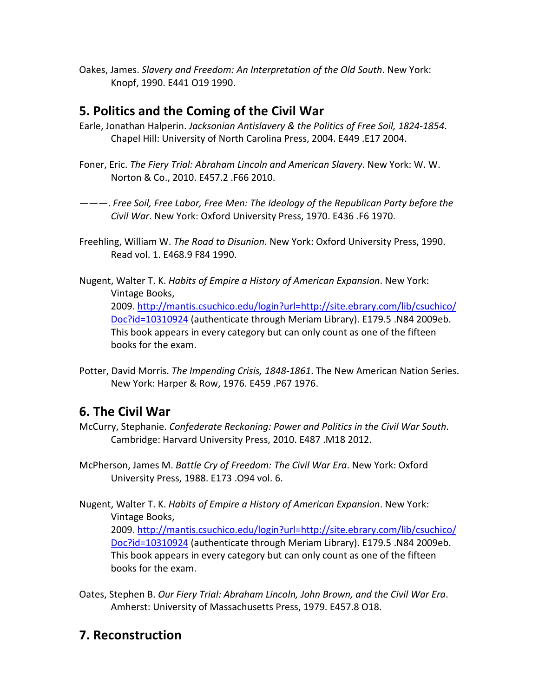Oakes, James. *Slavery and Freedom: An Interpretation of the Old South*. New York: Knopf, 1990. E441 O19 1990.

### **5. Politics and the Coming of the Civil War**

- Earle, Jonathan Halperin. *Jacksonian Antislavery & the Politics of Free Soil, 1824-1854*. Chapel Hill: University of North Carolina Press, 2004. E449 .E17 2004.
- Foner, Eric. *The Fiery Trial: Abraham Lincoln and American Slavery*. New York: W. W. Norton & Co., 2010. E457.2 .F66 2010.
- ———. *Free Soil, Free Labor, Free Men: The Ideology of the Republican Party before the Civil War*. New York: Oxford University Press, 1970. E436 .F6 1970.
- Freehling, William W. *The Road to Disunion*. New York: Oxford University Press, 1990. Read vol. 1. E468.9 F84 1990.
- Nugent, Walter T. K. *Habits of Empire a History of American Expansion*. New York: Vintage Books, 2009. [http://mantis.csuchico.edu/login?url=http://site.ebrary.com/lib/csuchico/](http://mantis.csuchico.edu/login?url=http://site.ebrary.com/lib/csuchico/Doc?id=10310924) [Doc?id=10310924](http://mantis.csuchico.edu/login?url=http://site.ebrary.com/lib/csuchico/Doc?id=10310924) (authenticate through Meriam Library). E179.5 .N84 2009eb. This book appears in every category but can only count as one of the fifteen books for the exam.
- Potter, David Morris. *The Impending Crisis, 1848-1861*. The New American Nation Series. New York: Harper & Row, 1976. E459 .P67 1976.

## **6. The Civil War**

- McCurry, Stephanie. *Confederate Reckoning: Power and Politics in the Civil War South*. Cambridge: Harvard University Press, 2010. E487 .M18 2012.
- McPherson, James M. *Battle Cry of Freedom: The Civil War Era*. New York: Oxford University Press, 1988. E173 .O94 vol. 6.
- Nugent, Walter T. K. *Habits of Empire a History of American Expansion*. New York: Vintage Books, 2009. [http://mantis.csuchico.edu/login?url=http://site.ebrary.com/lib/csuchico/](http://mantis.csuchico.edu/login?url=http://site.ebrary.com/lib/csuchico/Doc?id=10310924) [Doc?id=10310924](http://mantis.csuchico.edu/login?url=http://site.ebrary.com/lib/csuchico/Doc?id=10310924) (authenticate through Meriam Library). E179.5 .N84 2009eb. This book appears in every category but can only count as one of the fifteen books for the exam.
- Oates, Stephen B. *Our Fiery Trial: Abraham Lincoln, John Brown, and the Civil War Era*. Amherst: University of Massachusetts Press, 1979. E457.8 O18.

## **7. Reconstruction**